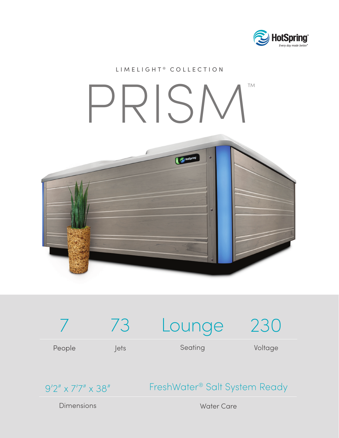

## LIMELIGHT<sup>®</sup> COLLECTION PRISM™HotSpring



9'2" x 7'7" x 38"

FreshWater® Salt System Ready

Dimensions

Water Care